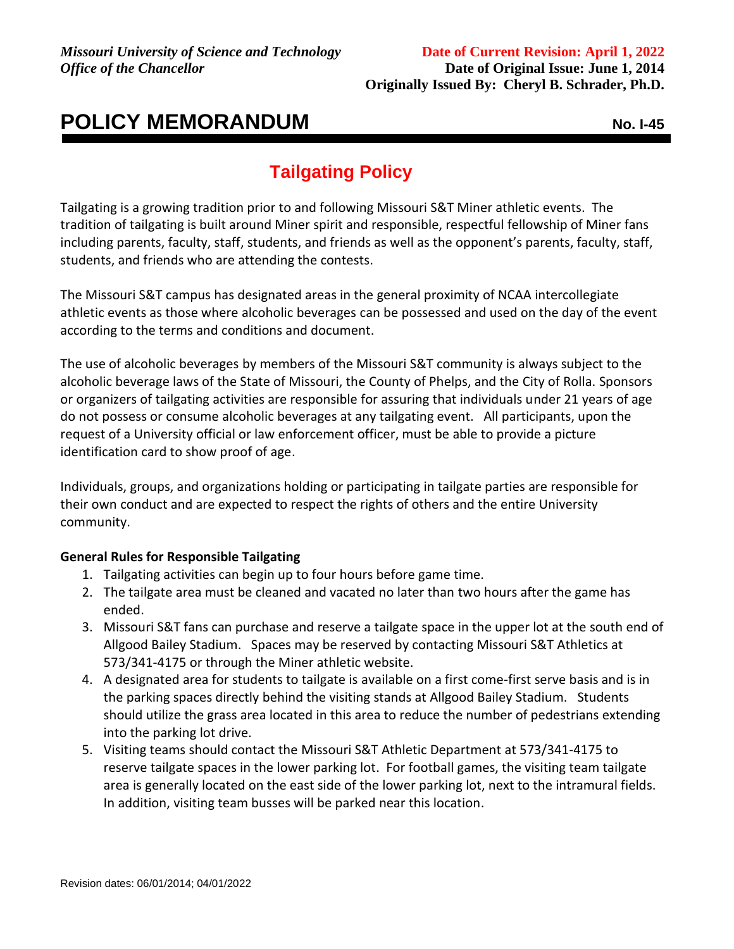## **POLICY MEMORANDUM** NO. I-45

## **Tailgating Policy**

Tailgating is a growing tradition prior to and following Missouri S&T Miner athletic events. The tradition of tailgating is built around Miner spirit and responsible, respectful fellowship of Miner fans including parents, faculty, staff, students, and friends as well as the opponent's parents, faculty, staff, students, and friends who are attending the contests.

The Missouri S&T campus has designated areas in the general proximity of NCAA intercollegiate athletic events as those where alcoholic beverages can be possessed and used on the day of the event according to the terms and conditions and document.

The use of alcoholic beverages by members of the Missouri S&T community is always subject to the alcoholic beverage laws of the State of Missouri, the County of Phelps, and the City of Rolla. Sponsors or organizers of tailgating activities are responsible for assuring that individuals under 21 years of age do not possess or consume alcoholic beverages at any tailgating event. All participants, upon the request of a University official or law enforcement officer, must be able to provide a picture identification card to show proof of age.

Individuals, groups, and organizations holding or participating in tailgate parties are responsible for their own conduct and are expected to respect the rights of others and the entire University community.

## **General Rules for Responsible Tailgating**

- 1. Tailgating activities can begin up to four hours before game time.
- 2. The tailgate area must be cleaned and vacated no later than two hours after the game has ended.
- 3. Missouri S&T fans can purchase and reserve a tailgate space in the upper lot at the south end of Allgood Bailey Stadium. Spaces may be reserved by contacting Missouri S&T Athletics at 573/341-4175 or through the Miner athletic website.
- 4. A designated area for students to tailgate is available on a first come-first serve basis and is in the parking spaces directly behind the visiting stands at Allgood Bailey Stadium. Students should utilize the grass area located in this area to reduce the number of pedestrians extending into the parking lot drive.
- 5. Visiting teams should contact the Missouri S&T Athletic Department at 573/341-4175 to reserve tailgate spaces in the lower parking lot. For football games, the visiting team tailgate area is generally located on the east side of the lower parking lot, next to the intramural fields. In addition, visiting team busses will be parked near this location.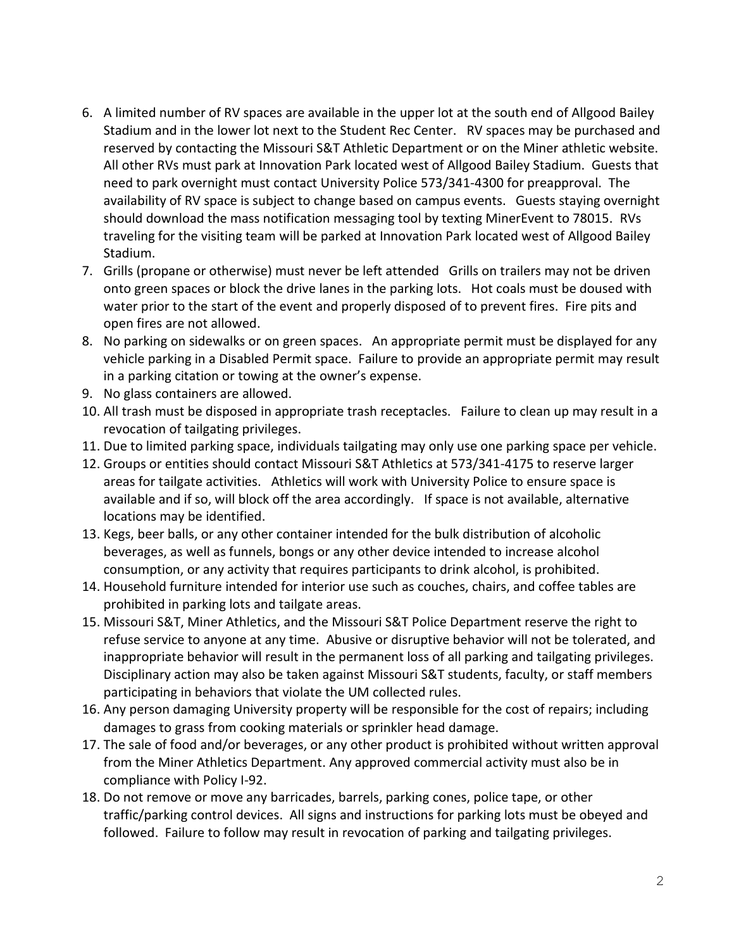- 6. A limited number of RV spaces are available in the upper lot at the south end of Allgood Bailey Stadium and in the lower lot next to the Student Rec Center. RV spaces may be purchased and reserved by contacting the Missouri S&T Athletic Department or on the Miner athletic website. All other RVs must park at Innovation Park located west of Allgood Bailey Stadium. Guests that need to park overnight must contact University Police 573/341-4300 for preapproval. The availability of RV space is subject to change based on campus events. Guests staying overnight should download the mass notification messaging tool by texting MinerEvent to 78015. RVs traveling for the visiting team will be parked at Innovation Park located west of Allgood Bailey Stadium.
- 7. Grills (propane or otherwise) must never be left attended Grills on trailers may not be driven onto green spaces or block the drive lanes in the parking lots. Hot coals must be doused with water prior to the start of the event and properly disposed of to prevent fires. Fire pits and open fires are not allowed.
- 8. No parking on sidewalks or on green spaces. An appropriate permit must be displayed for any vehicle parking in a Disabled Permit space. Failure to provide an appropriate permit may result in a parking citation or towing at the owner's expense.
- 9. No glass containers are allowed.
- 10. All trash must be disposed in appropriate trash receptacles. Failure to clean up may result in a revocation of tailgating privileges.
- 11. Due to limited parking space, individuals tailgating may only use one parking space per vehicle.
- 12. Groups or entities should contact Missouri S&T Athletics at 573/341-4175 to reserve larger areas for tailgate activities. Athletics will work with University Police to ensure space is available and if so, will block off the area accordingly. If space is not available, alternative locations may be identified.
- 13. Kegs, beer balls, or any other container intended for the bulk distribution of alcoholic beverages, as well as funnels, bongs or any other device intended to increase alcohol consumption, or any activity that requires participants to drink alcohol, is prohibited.
- 14. Household furniture intended for interior use such as couches, chairs, and coffee tables are prohibited in parking lots and tailgate areas.
- 15. Missouri S&T, Miner Athletics, and the Missouri S&T Police Department reserve the right to refuse service to anyone at any time. Abusive or disruptive behavior will not be tolerated, and inappropriate behavior will result in the permanent loss of all parking and tailgating privileges. Disciplinary action may also be taken against Missouri S&T students, faculty, or staff members participating in behaviors that violate the UM collected rules.
- 16. Any person damaging University property will be responsible for the cost of repairs; including damages to grass from cooking materials or sprinkler head damage.
- 17. The sale of food and/or beverages, or any other product is prohibited without written approval from the Miner Athletics Department. Any approved commercial activity must also be in compliance with Policy I-92.
- 18. Do not remove or move any barricades, barrels, parking cones, police tape, or other traffic/parking control devices. All signs and instructions for parking lots must be obeyed and followed. Failure to follow may result in revocation of parking and tailgating privileges.